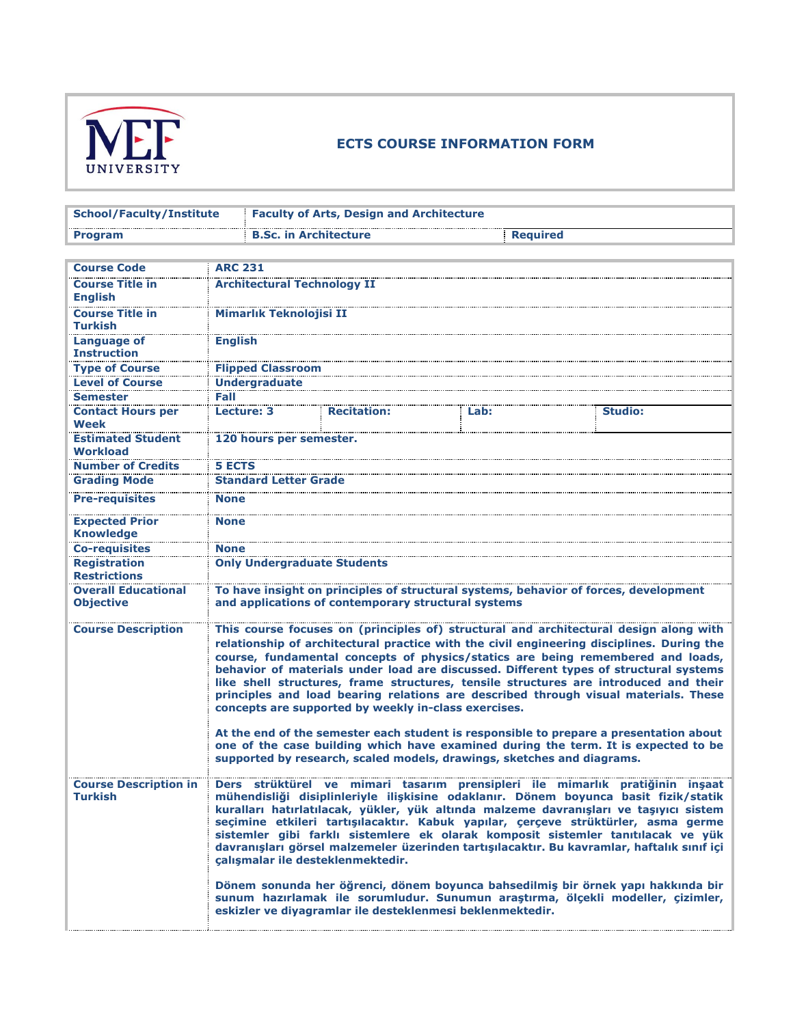

## **ECTS COURSE INFORMATION FORM**

| <b>School/Faculty/Institute</b>                |                                                                                                                                             | <b>Faculty of Arts, Design and Architecture</b>                                                                                                                                                                                                                                                                                                                                                                                                                                                                                                                                                                                                                                                                                                                                                                                                                 |      |  |                 |  |  |
|------------------------------------------------|---------------------------------------------------------------------------------------------------------------------------------------------|-----------------------------------------------------------------------------------------------------------------------------------------------------------------------------------------------------------------------------------------------------------------------------------------------------------------------------------------------------------------------------------------------------------------------------------------------------------------------------------------------------------------------------------------------------------------------------------------------------------------------------------------------------------------------------------------------------------------------------------------------------------------------------------------------------------------------------------------------------------------|------|--|-----------------|--|--|
| <b>Program</b>                                 |                                                                                                                                             | <b>B.Sc. in Architecture</b>                                                                                                                                                                                                                                                                                                                                                                                                                                                                                                                                                                                                                                                                                                                                                                                                                                    |      |  | <b>Required</b> |  |  |
|                                                |                                                                                                                                             |                                                                                                                                                                                                                                                                                                                                                                                                                                                                                                                                                                                                                                                                                                                                                                                                                                                                 |      |  |                 |  |  |
| <b>Course Code</b>                             | <b>ARC 231</b>                                                                                                                              |                                                                                                                                                                                                                                                                                                                                                                                                                                                                                                                                                                                                                                                                                                                                                                                                                                                                 |      |  |                 |  |  |
| <b>Course Title in</b><br><b>English</b>       | <b>Architectural Technology II</b>                                                                                                          |                                                                                                                                                                                                                                                                                                                                                                                                                                                                                                                                                                                                                                                                                                                                                                                                                                                                 |      |  |                 |  |  |
| <b>Course Title in</b><br><b>Turkish</b>       | Mimarlık Teknolojisi II                                                                                                                     |                                                                                                                                                                                                                                                                                                                                                                                                                                                                                                                                                                                                                                                                                                                                                                                                                                                                 |      |  |                 |  |  |
| Language of<br><b>Instruction</b>              | <b>English</b>                                                                                                                              |                                                                                                                                                                                                                                                                                                                                                                                                                                                                                                                                                                                                                                                                                                                                                                                                                                                                 |      |  |                 |  |  |
| <b>Type of Course</b>                          | <b>Flipped Classroom</b>                                                                                                                    |                                                                                                                                                                                                                                                                                                                                                                                                                                                                                                                                                                                                                                                                                                                                                                                                                                                                 |      |  |                 |  |  |
| <b>Level of Course</b>                         | <b>Undergraduate</b>                                                                                                                        |                                                                                                                                                                                                                                                                                                                                                                                                                                                                                                                                                                                                                                                                                                                                                                                                                                                                 |      |  |                 |  |  |
| <b>Semester</b>                                | Fall                                                                                                                                        |                                                                                                                                                                                                                                                                                                                                                                                                                                                                                                                                                                                                                                                                                                                                                                                                                                                                 |      |  |                 |  |  |
| <b>Contact Hours per</b><br>Week               | Lecture: 3                                                                                                                                  | <b>Recitation:</b>                                                                                                                                                                                                                                                                                                                                                                                                                                                                                                                                                                                                                                                                                                                                                                                                                                              | Lab: |  | <b>Studio:</b>  |  |  |
| <b>Estimated Student</b><br><b>Workload</b>    | 120 hours per semester.                                                                                                                     |                                                                                                                                                                                                                                                                                                                                                                                                                                                                                                                                                                                                                                                                                                                                                                                                                                                                 |      |  |                 |  |  |
| <b>Number of Credits</b>                       | <b>5 ECTS</b>                                                                                                                               |                                                                                                                                                                                                                                                                                                                                                                                                                                                                                                                                                                                                                                                                                                                                                                                                                                                                 |      |  |                 |  |  |
| <b>Grading Mode</b>                            | <b>Standard Letter Grade</b>                                                                                                                |                                                                                                                                                                                                                                                                                                                                                                                                                                                                                                                                                                                                                                                                                                                                                                                                                                                                 |      |  |                 |  |  |
| <b>Pre-requisites</b>                          | <b>None</b>                                                                                                                                 |                                                                                                                                                                                                                                                                                                                                                                                                                                                                                                                                                                                                                                                                                                                                                                                                                                                                 |      |  |                 |  |  |
| <b>Expected Prior</b><br><b>Knowledge</b>      | <b>None</b>                                                                                                                                 |                                                                                                                                                                                                                                                                                                                                                                                                                                                                                                                                                                                                                                                                                                                                                                                                                                                                 |      |  |                 |  |  |
| <b>Co-requisites</b>                           | <b>None</b>                                                                                                                                 |                                                                                                                                                                                                                                                                                                                                                                                                                                                                                                                                                                                                                                                                                                                                                                                                                                                                 |      |  |                 |  |  |
| <b>Registration</b><br><b>Restrictions</b>     | <b>Only Undergraduate Students</b>                                                                                                          |                                                                                                                                                                                                                                                                                                                                                                                                                                                                                                                                                                                                                                                                                                                                                                                                                                                                 |      |  |                 |  |  |
| <b>Overall Educational</b><br><b>Objective</b> | To have insight on principles of structural systems, behavior of forces, development<br>and applications of contemporary structural systems |                                                                                                                                                                                                                                                                                                                                                                                                                                                                                                                                                                                                                                                                                                                                                                                                                                                                 |      |  |                 |  |  |
| <b>Course Description</b>                      |                                                                                                                                             | This course focuses on (principles of) structural and architectural design along with<br>relationship of architectural practice with the civil engineering disciplines. During the<br>course, fundamental concepts of physics/statics are being remembered and loads,<br>behavior of materials under load are discussed. Different types of structural systems<br>like shell structures, frame structures, tensile structures are introduced and their<br>principles and load bearing relations are described through visual materials. These<br>concepts are supported by weekly in-class exercises.<br>At the end of the semester each student is responsible to prepare a presentation about<br>one of the case building which have examined during the term. It is expected to be<br>supported by research, scaled models, drawings, sketches and diagrams. |      |  |                 |  |  |
| Course Description in<br><b>Turkish</b>        | calışmalar ile desteklenmektedir.                                                                                                           | Ders strukturel ve mimari tasarım prensipleri ile mimarlık pratiğinin inşaat<br>mühendisliği disiplinleriyle ilişkisine odaklanır. Dönem boyunca basit fizik/statik<br>kuralları hatırlatılacak, yükler, yük altında malzeme davranışları ve taşıyıcı sistem<br>seçimine etkileri tartışılacaktır. Kabuk yapılar, çerçeve strüktürler, asma germe<br>sistemler gibi farklı sistemlere ek olarak komposit sistemler tanıtılacak ve yük<br>davranışları görsel malzemeler üzerinden tartışılacaktır. Bu kavramlar, haftalık sınıf içi<br>Dönem sonunda her öğrenci, dönem boyunca bahsedilmiş bir örnek yapı hakkında bir<br>sunum hazırlamak ile sorumludur. Sunumun araştırma, ölçekli modeller, çizimler,<br>eskizler ve diyagramlar ile desteklenmesi beklenmektedir.                                                                                         |      |  |                 |  |  |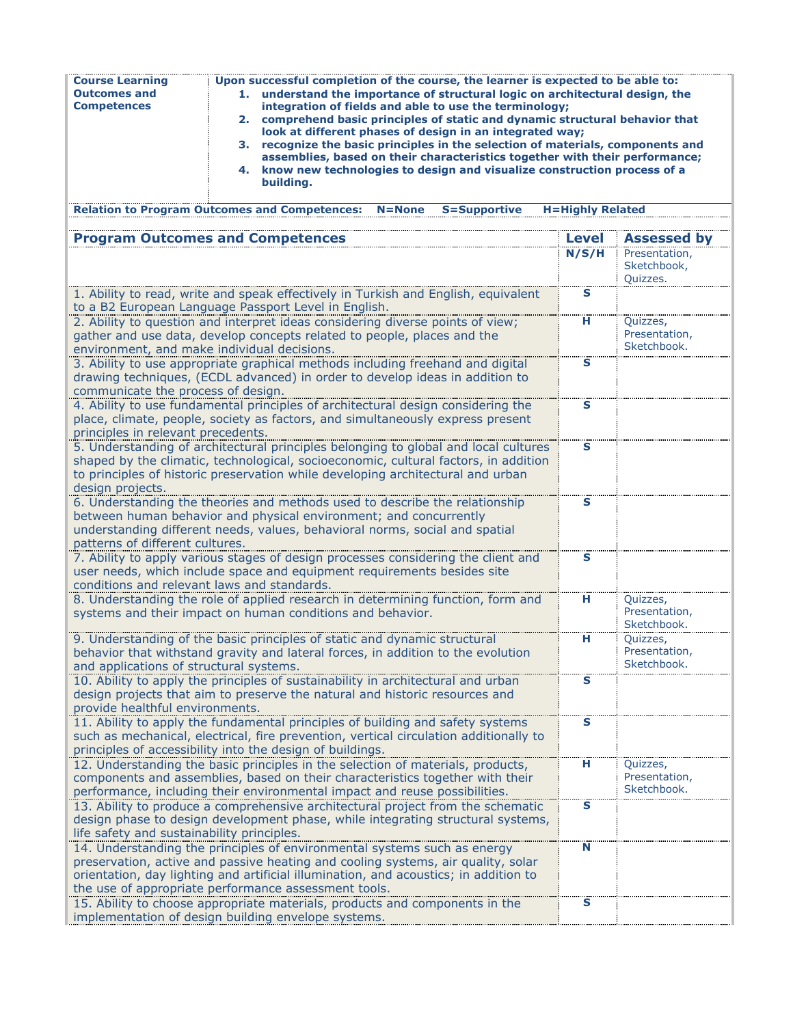| <b>Course Learning</b><br><b>Outcomes and</b><br><b>Competences</b> | Upon successful completion of the course, the learner is expected to be able to:<br>understand the importance of structural logic on architectural design, the<br>1.<br>integration of fields and able to use the terminology;<br>2. comprehend basic principles of static and dynamic structural behavior that<br>look at different phases of design in an integrated way;<br>3. recognize the basic principles in the selection of materials, components and<br>assemblies, based on their characteristics together with their performance;<br>4. know new technologies to design and visualize construction process of a<br>building. |                         |                                          |
|---------------------------------------------------------------------|------------------------------------------------------------------------------------------------------------------------------------------------------------------------------------------------------------------------------------------------------------------------------------------------------------------------------------------------------------------------------------------------------------------------------------------------------------------------------------------------------------------------------------------------------------------------------------------------------------------------------------------|-------------------------|------------------------------------------|
|                                                                     | <b>Relation to Program Outcomes and Competences:</b><br><b>S=Supportive</b><br>$N = None$                                                                                                                                                                                                                                                                                                                                                                                                                                                                                                                                                | <b>H=Highly Related</b> |                                          |
|                                                                     | <b>Program Outcomes and Competences</b>                                                                                                                                                                                                                                                                                                                                                                                                                                                                                                                                                                                                  | <b>Level</b>            | <b>Assessed by</b>                       |
|                                                                     |                                                                                                                                                                                                                                                                                                                                                                                                                                                                                                                                                                                                                                          | N/S/H                   | Presentation,<br>Sketchbook,<br>Quizzes. |
|                                                                     | 1. Ability to read, write and speak effectively in Turkish and English, equivalent<br>to a B2 European Language Passport Level in English.                                                                                                                                                                                                                                                                                                                                                                                                                                                                                               | S                       |                                          |
| environment, and make individual decisions.                         | 2. Ability to question and interpret ideas considering diverse points of view;<br>gather and use data, develop concepts related to people, places and the                                                                                                                                                                                                                                                                                                                                                                                                                                                                                | н                       | Quizzes,<br>Presentation,<br>Sketchbook. |
| communicate the process of design.                                  | 3. Ability to use appropriate graphical methods including freehand and digital<br>drawing techniques, (ECDL advanced) in order to develop ideas in addition to                                                                                                                                                                                                                                                                                                                                                                                                                                                                           | S                       |                                          |
| principles in relevant precedents.                                  | 4. Ability to use fundamental principles of architectural design considering the<br>place, climate, people, society as factors, and simultaneously express present                                                                                                                                                                                                                                                                                                                                                                                                                                                                       | $\overline{\mathbf{s}}$ |                                          |
| design projects.                                                    | 5. Understanding of architectural principles belonging to global and local cultures<br>shaped by the climatic, technological, socioeconomic, cultural factors, in addition<br>to principles of historic preservation while developing architectural and urban                                                                                                                                                                                                                                                                                                                                                                            | $\mathbf{s}$            |                                          |
| patterns of different cultures.                                     | 6. Understanding the theories and methods used to describe the relationship<br>between human behavior and physical environment; and concurrently<br>understanding different needs, values, behavioral norms, social and spatial                                                                                                                                                                                                                                                                                                                                                                                                          | S                       |                                          |
| conditions and relevant laws and standards.                         | 7. Ability to apply various stages of design processes considering the client and<br>user needs, which include space and equipment requirements besides site                                                                                                                                                                                                                                                                                                                                                                                                                                                                             | S                       |                                          |
|                                                                     | 8. Understanding the role of applied research in determining function, form and<br>systems and their impact on human conditions and behavior.                                                                                                                                                                                                                                                                                                                                                                                                                                                                                            | н                       | Quizzes,<br>Presentation,<br>Sketchbook. |
| and applications of structural systems.                             | 9. Understanding of the basic principles of static and dynamic structural<br>behavior that withstand gravity and lateral forces, in addition to the evolution                                                                                                                                                                                                                                                                                                                                                                                                                                                                            | н                       | Quizzes,<br>Presentation,<br>Sketchbook. |
| provide healthful environments.                                     | 10. Ability to apply the principles of sustainability in architectural and urban<br>design projects that aim to preserve the natural and historic resources and                                                                                                                                                                                                                                                                                                                                                                                                                                                                          | S                       |                                          |
|                                                                     | 11. Ability to apply the fundamental principles of building and safety systems<br>such as mechanical, electrical, fire prevention, vertical circulation additionally to<br>principles of accessibility into the design of buildings.                                                                                                                                                                                                                                                                                                                                                                                                     | S                       |                                          |
|                                                                     | 12. Understanding the basic principles in the selection of materials, products,<br>components and assemblies, based on their characteristics together with their<br>performance, including their environmental impact and reuse possibilities.                                                                                                                                                                                                                                                                                                                                                                                           | н                       | Quizzes,<br>Presentation,<br>Sketchbook. |
| life safety and sustainability principles.                          | 13. Ability to produce a comprehensive architectural project from the schematic<br>design phase to design development phase, while integrating structural systems,                                                                                                                                                                                                                                                                                                                                                                                                                                                                       | $\mathbf s$             |                                          |
|                                                                     | 14. Understanding the principles of environmental systems such as energy<br>preservation, active and passive heating and cooling systems, air quality, solar<br>orientation, day lighting and artificial illumination, and acoustics; in addition to<br>the use of appropriate performance assessment tools.                                                                                                                                                                                                                                                                                                                             | N                       |                                          |
|                                                                     | 15. Ability to choose appropriate materials, products and components in the<br>implementation of design building envelope systems.                                                                                                                                                                                                                                                                                                                                                                                                                                                                                                       | S                       |                                          |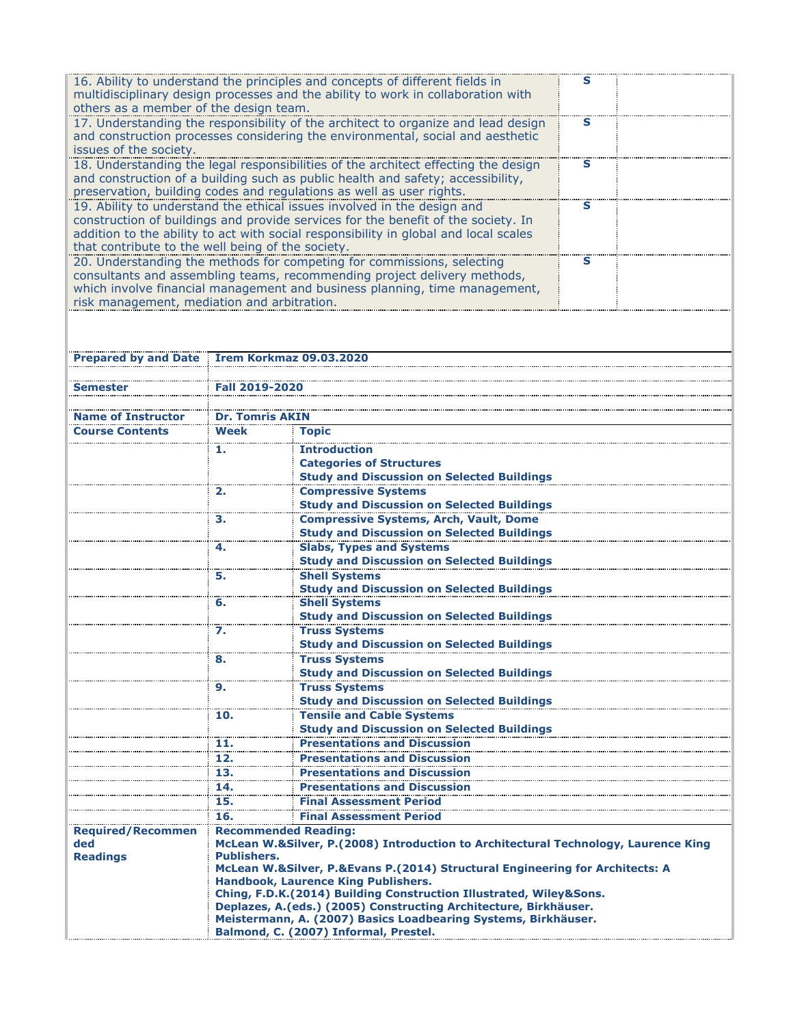| 16. Ability to understand the principles and concepts of different fields in<br>multidisciplinary design processes and the ability to work in collaboration with |   |  |
|------------------------------------------------------------------------------------------------------------------------------------------------------------------|---|--|
| others as a member of the design team.                                                                                                                           |   |  |
| 17. Understanding the responsibility of the architect to organize and lead design                                                                                | s |  |
| and construction processes considering the environmental, social and aesthetic                                                                                   |   |  |
| issues of the society.                                                                                                                                           |   |  |
| 18. Understanding the legal responsibilities of the architect effecting the design                                                                               |   |  |
| and construction of a building such as public health and safety; accessibility,                                                                                  |   |  |
| preservation, building codes and regulations as well as user rights.                                                                                             |   |  |
| 19. Ability to understand the ethical issues involved in the design and                                                                                          | s |  |
| construction of buildings and provide services for the benefit of the society. In                                                                                |   |  |
| addition to the ability to act with social responsibility in global and local scales                                                                             |   |  |
| that contribute to the well being of the society.                                                                                                                |   |  |
| 20. Understanding the methods for competing for commissions, selecting                                                                                           |   |  |
| consultants and assembling teams, recommending project delivery methods,                                                                                         |   |  |
| which involve financial management and business planning, time management,                                                                                       |   |  |
| risk management, mediation and arbitration.                                                                                                                      |   |  |
|                                                                                                                                                                  |   |  |

| <b>Prepared by and Date</b> |                                                                                    | <b>Irem Korkmaz 09.03.2020</b>                                                                          |  |  |
|-----------------------------|------------------------------------------------------------------------------------|---------------------------------------------------------------------------------------------------------|--|--|
|                             |                                                                                    |                                                                                                         |  |  |
| Semester                    | Fall 2019-2020                                                                     |                                                                                                         |  |  |
|                             |                                                                                    |                                                                                                         |  |  |
| <b>Name of Instructor</b>   | <b>Dr. Tomris AKIN</b>                                                             |                                                                                                         |  |  |
| <b>Course Contents</b>      | <b>Week</b>                                                                        | <b>Topic</b>                                                                                            |  |  |
|                             | 1.                                                                                 | <b>Introduction</b>                                                                                     |  |  |
|                             |                                                                                    | <b>Categories of Structures</b>                                                                         |  |  |
|                             |                                                                                    | <b>Study and Discussion on Selected Buildings</b>                                                       |  |  |
|                             | 2.                                                                                 | <b>Compressive Systems</b>                                                                              |  |  |
|                             |                                                                                    | <b>Study and Discussion on Selected Buildings</b>                                                       |  |  |
|                             | з.                                                                                 | <b>Compressive Systems, Arch, Vault, Dome</b>                                                           |  |  |
|                             |                                                                                    | <b>Study and Discussion on Selected Buildings</b>                                                       |  |  |
|                             | 4.                                                                                 | <b>Slabs, Types and Systems</b>                                                                         |  |  |
|                             |                                                                                    | <b>Study and Discussion on Selected Buildings</b>                                                       |  |  |
|                             | 5.                                                                                 | <b>Shell Systems</b>                                                                                    |  |  |
|                             |                                                                                    | <b>Study and Discussion on Selected Buildings</b>                                                       |  |  |
|                             | 6.                                                                                 | <b>Shell Systems</b>                                                                                    |  |  |
|                             |                                                                                    | <b>Study and Discussion on Selected Buildings</b>                                                       |  |  |
|                             | 7.                                                                                 | <b>Truss Systems</b>                                                                                    |  |  |
|                             |                                                                                    | <b>Study and Discussion on Selected Buildings</b>                                                       |  |  |
|                             | 8.                                                                                 | <b>Truss Systems</b>                                                                                    |  |  |
|                             |                                                                                    | <b>Study and Discussion on Selected Buildings</b>                                                       |  |  |
|                             | 9.                                                                                 | <b>Truss Systems</b>                                                                                    |  |  |
|                             |                                                                                    | <b>Study and Discussion on Selected Buildings</b>                                                       |  |  |
|                             | 10.                                                                                | <b>Tensile and Cable Systems</b>                                                                        |  |  |
|                             |                                                                                    | <b>Study and Discussion on Selected Buildings</b>                                                       |  |  |
|                             | 11.                                                                                | <b>Presentations and Discussion</b>                                                                     |  |  |
|                             | 12.                                                                                | <b>Presentations and Discussion</b>                                                                     |  |  |
|                             | 13.                                                                                | <b>Presentations and Discussion</b>                                                                     |  |  |
|                             | 14.                                                                                | <b>Presentations and Discussion</b>                                                                     |  |  |
|                             | 15.                                                                                | <b>Final Assessment Period</b>                                                                          |  |  |
|                             | 16.                                                                                | <b>Final Assessment Period</b>                                                                          |  |  |
| <b>Required/Recommen</b>    |                                                                                    | <b>Recommended Reading:</b>                                                                             |  |  |
| ded                         | McLean W.&Silver, P.(2008) Introduction to Architectural Technology, Laurence King |                                                                                                         |  |  |
| <b>Readings</b>             | <b>Publishers.</b>                                                                 |                                                                                                         |  |  |
|                             |                                                                                    | McLean W.&Silver, P.&Evans P.(2014) Structural Engineering for Architects: A                            |  |  |
|                             | Handbook, Laurence King Publishers.                                                |                                                                                                         |  |  |
|                             | Ching, F.D.K.(2014) Building Construction Illustrated, Wiley&Sons.                 |                                                                                                         |  |  |
|                             | Deplazes, A.(eds.) (2005) Constructing Architecture, Birkhäuser.                   |                                                                                                         |  |  |
|                             |                                                                                    | Meistermann, A. (2007) Basics Loadbearing Systems, Birkhäuser.<br>Balmond, C. (2007) Informal, Prestel. |  |  |
|                             |                                                                                    |                                                                                                         |  |  |